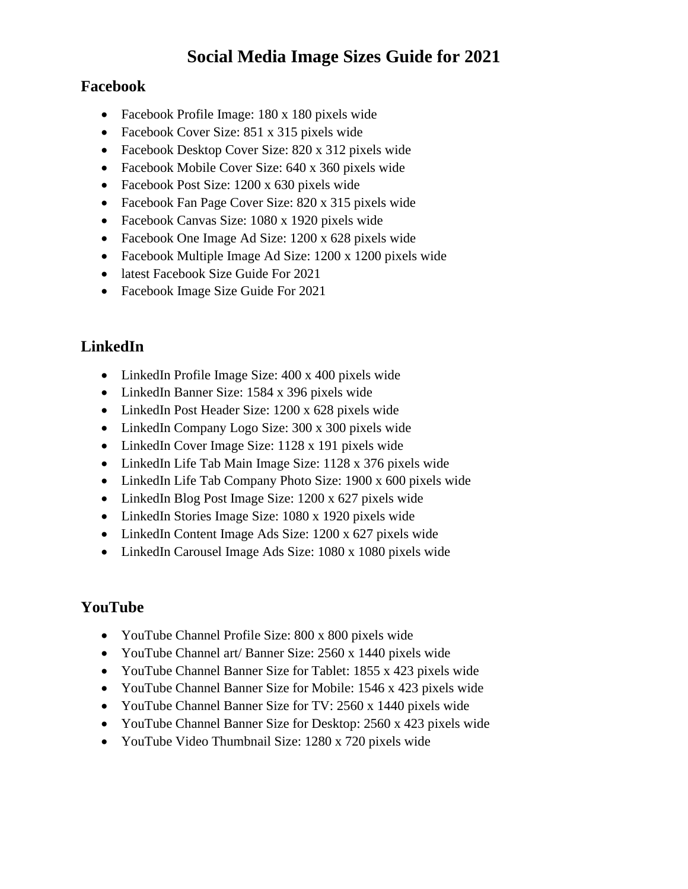# **Social Media Image Sizes Guide for 2021**

#### **Facebook**

- Facebook Profile Image: 180 x 180 pixels wide
- Facebook Cover Size: 851 x 315 pixels wide
- Facebook Desktop Cover Size: 820 x 312 pixels wide
- Facebook Mobile Cover Size: 640 x 360 pixels wide
- Facebook Post Size: 1200 x 630 pixels wide
- Facebook Fan Page Cover Size: 820 x 315 pixels wide
- Facebook Canvas Size: 1080 x 1920 pixels wide
- Facebook One Image Ad Size: 1200 x 628 pixels wide
- Facebook Multiple Image Ad Size: 1200 x 1200 pixels wide
- latest Facebook Size Guide For 2021
- Facebook Image Size Guide For 2021

# **LinkedIn**

- LinkedIn Profile Image Size: 400 x 400 pixels wide
- LinkedIn Banner Size: 1584 x 396 pixels wide
- LinkedIn Post Header Size: 1200 x 628 pixels wide
- LinkedIn Company Logo Size: 300 x 300 pixels wide
- LinkedIn Cover Image Size: 1128 x 191 pixels wide
- LinkedIn Life Tab Main Image Size: 1128 x 376 pixels wide
- LinkedIn Life Tab Company Photo Size: 1900 x 600 pixels wide
- LinkedIn Blog Post Image Size: 1200 x 627 pixels wide
- LinkedIn Stories Image Size: 1080 x 1920 pixels wide
- LinkedIn Content Image Ads Size: 1200 x 627 pixels wide
- LinkedIn Carousel Image Ads Size: 1080 x 1080 pixels wide

# **YouTube**

- YouTube Channel Profile Size: 800 x 800 pixels wide
- YouTube Channel art/ Banner Size: 2560 x 1440 pixels wide
- YouTube Channel Banner Size for Tablet: 1855 x 423 pixels wide
- YouTube Channel Banner Size for Mobile: 1546 x 423 pixels wide
- YouTube Channel Banner Size for TV: 2560 x 1440 pixels wide
- YouTube Channel Banner Size for Desktop: 2560 x 423 pixels wide
- YouTube Video Thumbnail Size: 1280 x 720 pixels wide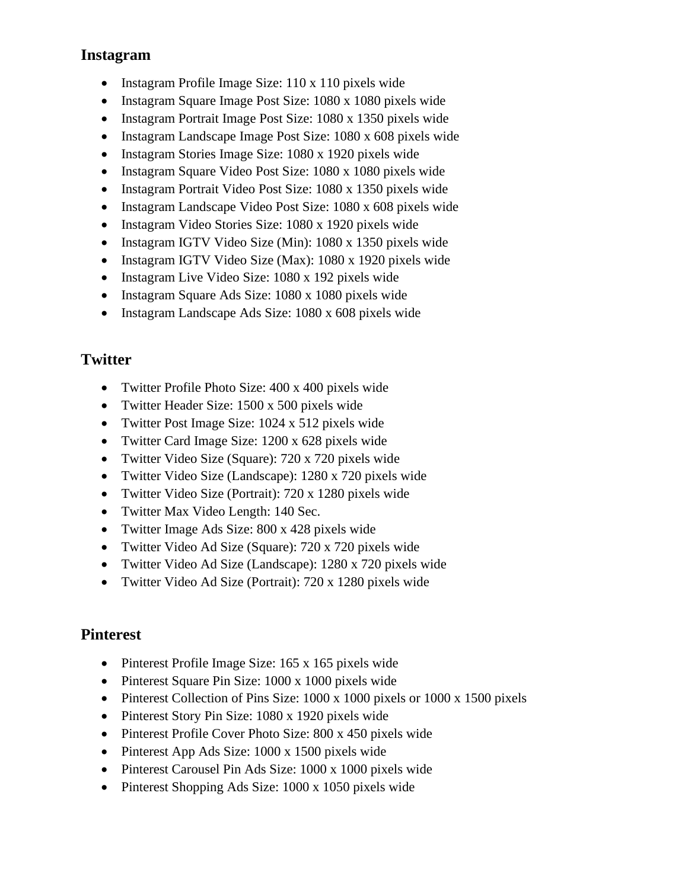#### **Instagram**

- Instagram Profile Image Size: 110 x 110 pixels wide
- Instagram Square Image Post Size: 1080 x 1080 pixels wide
- Instagram Portrait Image Post Size: 1080 x 1350 pixels wide
- Instagram Landscape Image Post Size: 1080 x 608 pixels wide
- Instagram Stories Image Size: 1080 x 1920 pixels wide
- Instagram Square Video Post Size: 1080 x 1080 pixels wide
- Instagram Portrait Video Post Size: 1080 x 1350 pixels wide
- Instagram Landscape Video Post Size: 1080 x 608 pixels wide
- Instagram Video Stories Size: 1080 x 1920 pixels wide
- Instagram IGTV Video Size (Min): 1080 x 1350 pixels wide
- Instagram IGTV Video Size (Max): 1080 x 1920 pixels wide
- Instagram Live Video Size: 1080 x 192 pixels wide
- Instagram Square Ads Size: 1080 x 1080 pixels wide
- Instagram Landscape Ads Size: 1080 x 608 pixels wide

# **Twitter**

- Twitter Profile Photo Size: 400 x 400 pixels wide
- Twitter Header Size: 1500 x 500 pixels wide
- Twitter Post Image Size: 1024 x 512 pixels wide
- Twitter Card Image Size: 1200 x 628 pixels wide
- Twitter Video Size (Square): 720 x 720 pixels wide
- Twitter Video Size (Landscape): 1280 x 720 pixels wide
- Twitter Video Size (Portrait): 720 x 1280 pixels wide
- Twitter Max Video Length: 140 Sec.
- Twitter Image Ads Size: 800 x 428 pixels wide
- Twitter Video Ad Size (Square): 720 x 720 pixels wide
- Twitter Video Ad Size (Landscape): 1280 x 720 pixels wide
- Twitter Video Ad Size (Portrait): 720 x 1280 pixels wide

# **Pinterest**

- Pinterest Profile Image Size: 165 x 165 pixels wide
- Pinterest Square Pin Size: 1000 x 1000 pixels wide
- Pinterest Collection of Pins Size: 1000 x 1000 pixels or 1000 x 1500 pixels
- Pinterest Story Pin Size: 1080 x 1920 pixels wide
- Pinterest Profile Cover Photo Size: 800 x 450 pixels wide
- Pinterest App Ads Size: 1000 x 1500 pixels wide
- Pinterest Carousel Pin Ads Size: 1000 x 1000 pixels wide
- Pinterest Shopping Ads Size: 1000 x 1050 pixels wide